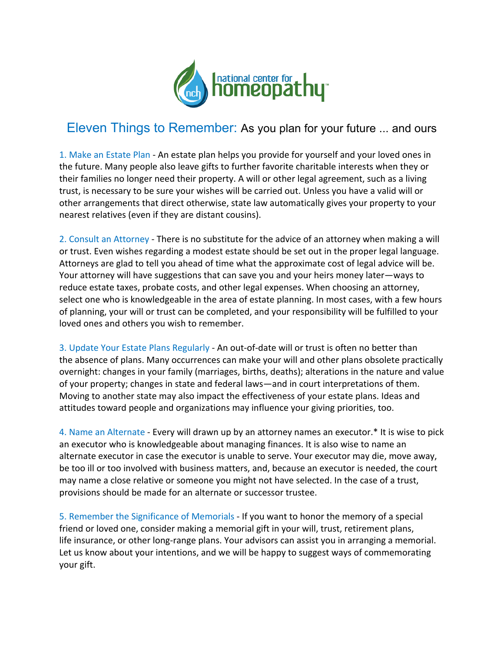

## Eleven Things to Remember: As you plan for your future ... and ours

1. Make an Estate Plan - An estate plan helps you provide for yourself and your loved ones in the future. Many people also leave gifts to further favorite charitable interests when they or their families no longer need their property. A will or other legal agreement, such as a living trust, is necessary to be sure your wishes will be carried out. Unless you have a valid will or other arrangements that direct otherwise, state law automatically gives your property to your nearest relatives (even if they are distant cousins).

2. Consult an Attorney - There is no substitute for the advice of an attorney when making a will or trust. Even wishes regarding a modest estate should be set out in the proper legal language. Attorneys are glad to tell you ahead of time what the approximate cost of legal advice will be. Your attorney will have suggestions that can save you and your heirs money later—ways to reduce estate taxes, probate costs, and other legal expenses. When choosing an attorney, select one who is knowledgeable in the area of estate planning. In most cases, with a few hours of planning, your will or trust can be completed, and your responsibility will be fulfilled to your loved ones and others you wish to remember.

3. Update Your Estate Plans Regularly - An out-of-date will or trust is often no better than the absence of plans. Many occurrences can make your will and other plans obsolete practically overnight: changes in your family (marriages, births, deaths); alterations in the nature and value of your property; changes in state and federal laws—and in court interpretations of them. Moving to another state may also impact the effectiveness of your estate plans. Ideas and attitudes toward people and organizations may influence your giving priorities, too.

4. Name an Alternate - Every will drawn up by an attorney names an executor.\* It is wise to pick an executor who is knowledgeable about managing finances. It is also wise to name an alternate executor in case the executor is unable to serve. Your executor may die, move away, be too ill or too involved with business matters, and, because an executor is needed, the court may name a close relative or someone you might not have selected. In the case of a trust, provisions should be made for an alternate or successor trustee.

5. Remember the Significance of Memorials - If you want to honor the memory of a special friend or loved one, consider making a memorial gift in your will, trust, retirement plans, life insurance, or other long-range plans. Your advisors can assist you in arranging a memorial. Let us know about your intentions, and we will be happy to suggest ways of commemorating your gift.